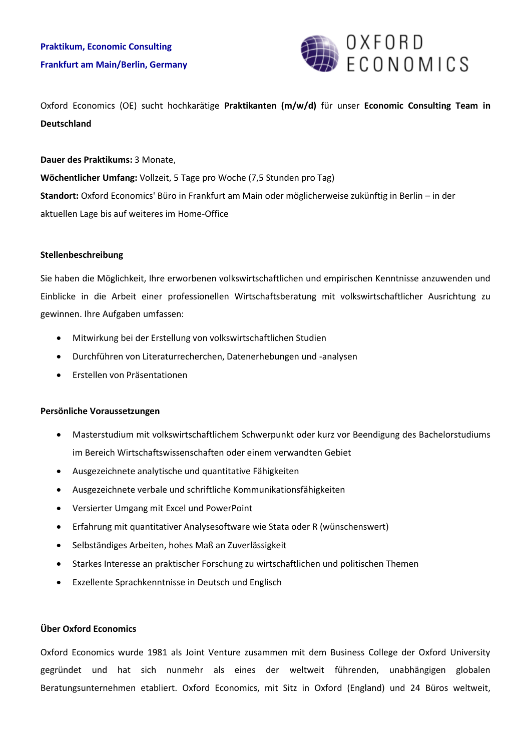

Oxford Economics (OE) sucht hochkarätige **Praktikanten (m/w/d)** für unser **Economic Consulting Team in Deutschland**

# **Dauer des Praktikums:** 3 Monate,

**Wöchentlicher Umfang:** Vollzeit, 5 Tage pro Woche (7,5 Stunden pro Tag) **Standort:** Oxford Economics' Büro in Frankfurt am Main oder möglicherweise zukünftig in Berlin – in der aktuellen Lage bis auf weiteres im Home-Office

# **Stellenbeschreibung**

Sie haben die Möglichkeit, Ihre erworbenen volkswirtschaftlichen und empirischen Kenntnisse anzuwenden und Einblicke in die Arbeit einer professionellen Wirtschaftsberatung mit volkswirtschaftlicher Ausrichtung zu gewinnen. Ihre Aufgaben umfassen:

- Mitwirkung bei der Erstellung von volkswirtschaftlichen Studien
- Durchführen von Literaturrecherchen, Datenerhebungen und -analysen
- Erstellen von Präsentationen

# **Persönliche Voraussetzungen**

- Masterstudium mit volkswirtschaftlichem Schwerpunkt oder kurz vor Beendigung des Bachelorstudiums im Bereich Wirtschaftswissenschaften oder einem verwandten Gebiet
- Ausgezeichnete analytische und quantitative Fähigkeiten
- Ausgezeichnete verbale und schriftliche Kommunikationsfähigkeiten
- Versierter Umgang mit Excel und PowerPoint
- Erfahrung mit quantitativer Analysesoftware wie Stata oder R (wünschenswert)
- Selbständiges Arbeiten, hohes Maß an Zuverlässigkeit
- Starkes Interesse an praktischer Forschung zu wirtschaftlichen und politischen Themen
- Exzellente Sprachkenntnisse in Deutsch und Englisch

# **Über Oxford Economics**

Oxford Economics wurde 1981 als Joint Venture zusammen mit dem Business College der Oxford University gegründet und hat sich nunmehr als eines der weltweit führenden, unabhängigen globalen Beratungsunternehmen etabliert. Oxford Economics, mit Sitz in Oxford (England) und 24 Büros weltweit,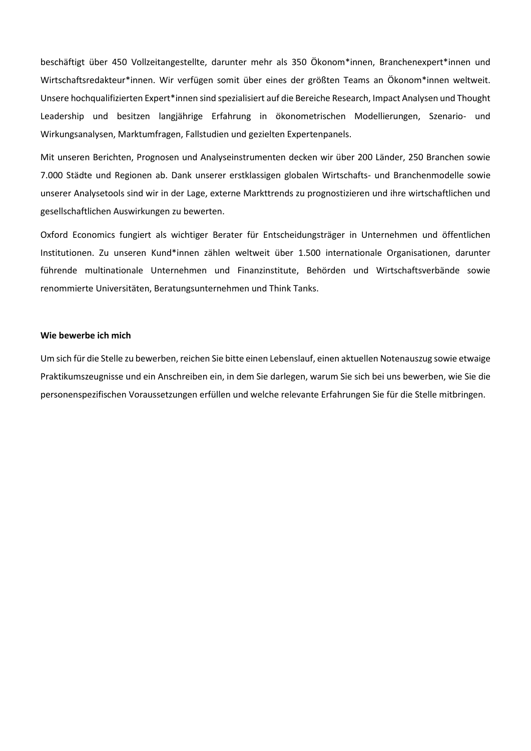beschäftigt über 450 Vollzeitangestellte, darunter mehr als 350 Ökonom\*innen, Branchenexpert\*innen und Wirtschaftsredakteur\*innen. Wir verfügen somit über eines der größten Teams an Ökonom\*innen weltweit. Unsere hochqualifizierten Expert\*innen sind spezialisiert auf die Bereiche Research, Impact Analysen und Thought Leadership und besitzen langjährige Erfahrung in ökonometrischen Modellierungen, Szenario- und Wirkungsanalysen, Marktumfragen, Fallstudien und gezielten Expertenpanels.

Mit unseren Berichten, Prognosen und Analyseinstrumenten decken wir über 200 Länder, 250 Branchen sowie 7.000 Städte und Regionen ab. Dank unserer erstklassigen globalen Wirtschafts- und Branchenmodelle sowie unserer Analysetools sind wir in der Lage, externe Markttrends zu prognostizieren und ihre wirtschaftlichen und gesellschaftlichen Auswirkungen zu bewerten.

Oxford Economics fungiert als wichtiger Berater für Entscheidungsträger in Unternehmen und öffentlichen Institutionen. Zu unseren Kund\*innen zählen weltweit über 1.500 internationale Organisationen, darunter führende multinationale Unternehmen und Finanzinstitute, Behörden und Wirtschaftsverbände sowie renommierte Universitäten, Beratungsunternehmen und Think Tanks.

## **Wie bewerbe ich mich**

Um sich für die Stelle zu bewerben, reichen Sie bitte einen Lebenslauf, einen aktuellen Notenauszug sowie etwaige Praktikumszeugnisse und ein Anschreiben ein, in dem Sie darlegen, warum Sie sich bei uns bewerben, wie Sie die personenspezifischen Voraussetzungen erfüllen und welche relevante Erfahrungen Sie für die Stelle mitbringen.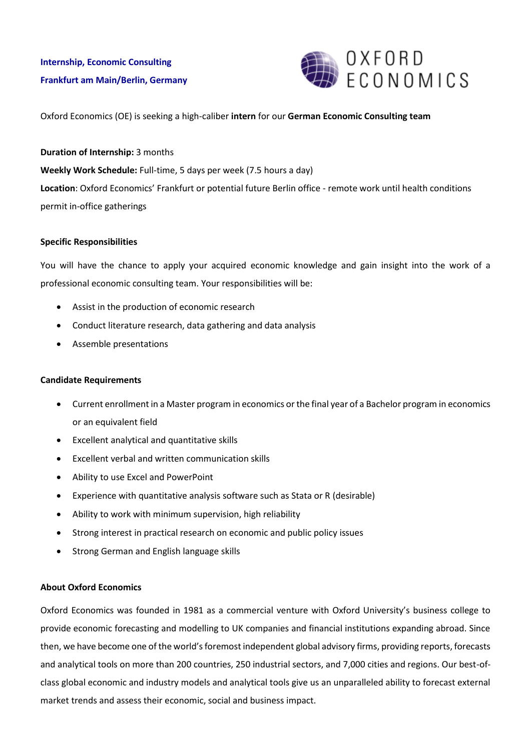

Oxford Economics (OE) is seeking a high-caliber **intern** for our **German Economic Consulting team**

**Duration of Internship:** 3 months

**Weekly Work Schedule:** Full-time, 5 days per week (7.5 hours a day) **Location**: Oxford Economics' Frankfurt or potential future Berlin office - remote work until health conditions permit in-office gatherings

# **Specific Responsibilities**

You will have the chance to apply your acquired economic knowledge and gain insight into the work of a professional economic consulting team. Your responsibilities will be:

- Assist in the production of economic research
- Conduct literature research, data gathering and data analysis
- Assemble presentations

# **Candidate Requirements**

- Current enrollment in a Master program in economics or the final year of a Bachelor program in economics or an equivalent field
- Excellent analytical and quantitative skills
- Excellent verbal and written communication skills
- Ability to use Excel and PowerPoint
- Experience with quantitative analysis software such as Stata or R (desirable)
- Ability to work with minimum supervision, high reliability
- Strong interest in practical research on economic and public policy issues
- Strong German and English language skills

# **About Oxford Economics**

Oxford Economics was founded in 1981 as a commercial venture with Oxford University's business college to provide economic forecasting and modelling to UK companies and financial institutions expanding abroad. Since then, we have become one of the world's foremost independent global advisory firms, providing reports, forecasts and analytical tools on more than 200 countries, 250 industrial sectors, and 7,000 cities and regions. Our best-ofclass global economic and industry models and analytical tools give us an unparalleled ability to forecast external market trends and assess their economic, social and business impact.